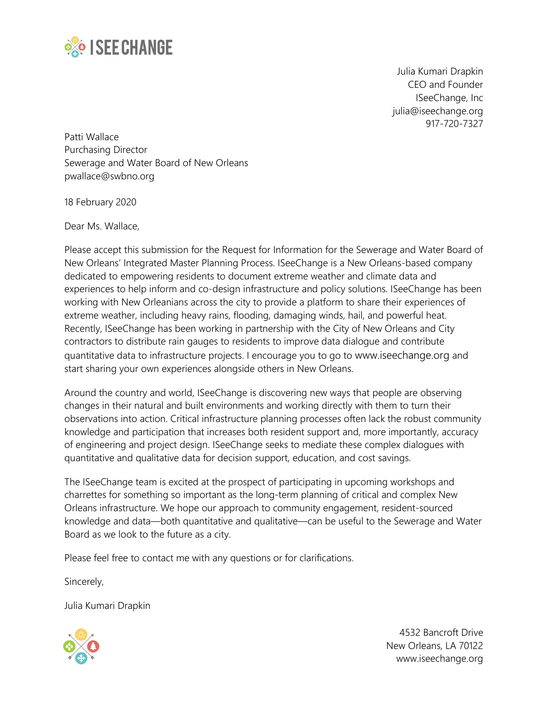

Julia Kumari Drapkin CEO and Founder ISeeChange, Inc [julia@iseechange.org](mailto:julia@iseechange.org) 917-720-7327

Patti Wallace Purchasing Director Sewerage and Water Board of New Orleans [pwallace@swbno.org](mailto:pwallace@swbno.org)

18 February 2020

Dear Ms. Wallace,

Please accept this submission for the Request for Information for the Sewerage and Water Board of New Orleans' Integrated Master Planning Process. ISeeChange is a New Orleans-based company dedicated to empowering residents to document extreme weather and climate data and experiences to help inform and co-design infrastructure and policy solutions. ISeeChange has been working with New Orleanians across the city to provide a platform to share their experiences of extreme weather, including heavy rains, flooding, damaging winds, hail, and powerful heat. Recently, ISeeChange has been working in partnership with the City of New Orleans and City contractors to distribute rain gauges to residents to improve data dialogue and contribute quantitative data to infrastructure projects. I encourage you to go to [www.iseechange.org](http://www.iseechange.org/) and start sharing your own experiences alongside others in New Orleans.

Around the country and world, ISeeChange is discovering new ways that people are observing changes in their natural and built environments and working directly with them to turn their observations into action. Critical infrastructure planning processes often lack the robust community knowledge and participation that increases both resident support and, more importantly, accuracy of engineering and project design. ISeeChange seeks to mediate these complex dialogues with quantitative and qualitative data for decision support, education, and cost savings.

The ISeeChange team is excited at the prospect of participating in upcoming workshops and charrettes for something so important as the long-term planning of critical and complex New Orleans infrastructure. We hope our approach to community engagement, resident-sourced knowledge and data—both quantitative and qualitative—can be useful to the Sewerage and Water Board as we look to the future as a city.

Please feel free to contact me with any questions or for clarifications.

Sincerely,

Julia Kumari Drapkin



4532 Bancroft Drive New Orleans, LA 70122 www.iseechange.org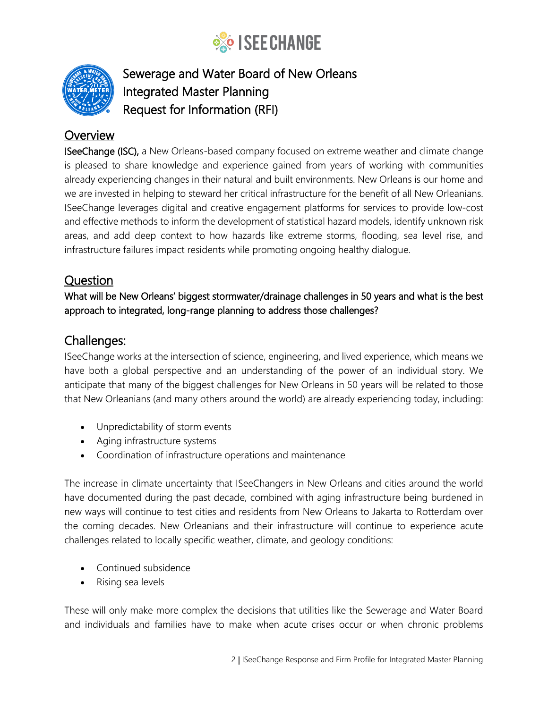



# Sewerage and Water Board of New Orleans Integrated Master Planning Request for Information (RFI)

# **Overview**

**ISeeChange (ISC),** a New Orleans-based company focused on extreme weather and climate change is pleased to share knowledge and experience gained from years of working with communities already experiencing changes in their natural and built environments. New Orleans is our home and we are invested in helping to steward her critical infrastructure for the benefit of all New Orleanians. ISeeChange leverages digital and creative engagement platforms for services to provide low-cost and effective methods to inform the development of statistical hazard models, identify unknown risk areas, and add deep context to how hazards like extreme storms, flooding, sea level rise, and infrastructure failures impact residents while promoting ongoing healthy dialogue.

### Question

What will be New Orleans' biggest stormwater/drainage challenges in 50 years and what is the best approach to integrated, long-range planning to address those challenges?

# Challenges:

ISeeChange works at the intersection of science, engineering, and lived experience, which means we have both a global perspective and an understanding of the power of an individual story. We anticipate that many of the biggest challenges for New Orleans in 50 years will be related to those that New Orleanians (and many others around the world) are already experiencing today, including:

- Unpredictability of storm events
- Aging infrastructure systems
- Coordination of infrastructure operations and maintenance

The increase in climate uncertainty that ISeeChangers in New Orleans and cities around the world have documented during the past decade, combined with aging infrastructure being burdened in new ways will continue to test cities and residents from New Orleans to Jakarta to Rotterdam over the coming decades. New Orleanians and their infrastructure will continue to experience acute challenges related to locally specific weather, climate, and geology conditions:

- Continued subsidence
- Rising sea levels

These will only make more complex the decisions that utilities like the Sewerage and Water Board and individuals and families have to make when acute crises occur or when chronic problems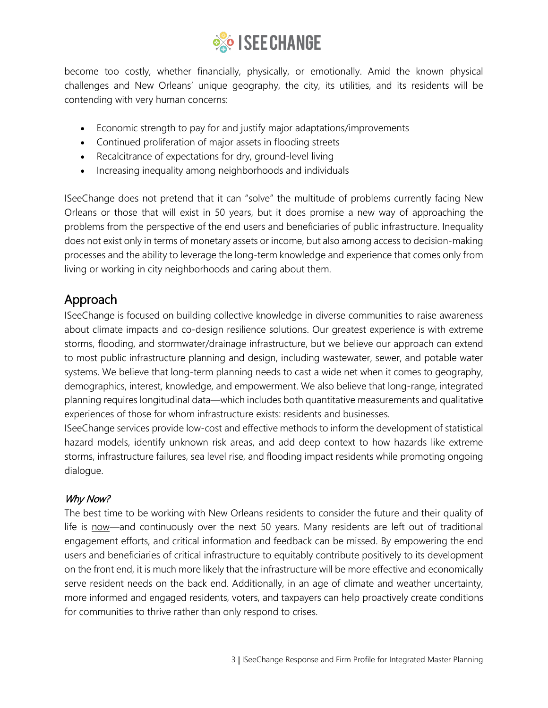

become too costly, whether financially, physically, or emotionally. Amid the known physical challenges and New Orleans' unique geography, the city, its utilities, and its residents will be contending with very human concerns:

- Economic strength to pay for and justify major adaptations/improvements
- Continued proliferation of major assets in flooding streets
- Recalcitrance of expectations for dry, ground-level living
- Increasing inequality among neighborhoods and individuals

ISeeChange does not pretend that it can "solve" the multitude of problems currently facing New Orleans or those that will exist in 50 years, but it does promise a new way of approaching the problems from the perspective of the end users and beneficiaries of public infrastructure. Inequality does not exist only in terms of monetary assets or income, but also among access to decision-making processes and the ability to leverage the long-term knowledge and experience that comes only from living or working in city neighborhoods and caring about them.

# Approach

ISeeChange is focused on building collective knowledge in diverse communities to raise awareness about climate impacts and co-design resilience solutions. Our greatest experience is with extreme storms, flooding, and stormwater/drainage infrastructure, but we believe our approach can extend to most public infrastructure planning and design, including wastewater, sewer, and potable water systems. We believe that long-term planning needs to cast a wide net when it comes to geography, demographics, interest, knowledge, and empowerment. We also believe that long-range, integrated planning requires longitudinal data—which includes both quantitative measurements and qualitative experiences of those for whom infrastructure exists: residents and businesses.

ISeeChange services provide low-cost and effective methods to inform the development of statistical hazard models, identify unknown risk areas, and add deep context to how hazards like extreme storms, infrastructure failures, sea level rise, and flooding impact residents while promoting ongoing dialogue.

### Why Now?

The best time to be working with New Orleans residents to consider the future and their quality of life is now—and continuously over the next 50 years. Many residents are left out of traditional engagement efforts, and critical information and feedback can be missed. By empowering the end users and beneficiaries of critical infrastructure to equitably contribute positively to its development on the front end, it is much more likely that the infrastructure will be more effective and economically serve resident needs on the back end. Additionally, in an age of climate and weather uncertainty, more informed and engaged residents, voters, and taxpayers can help proactively create conditions for communities to thrive rather than only respond to crises.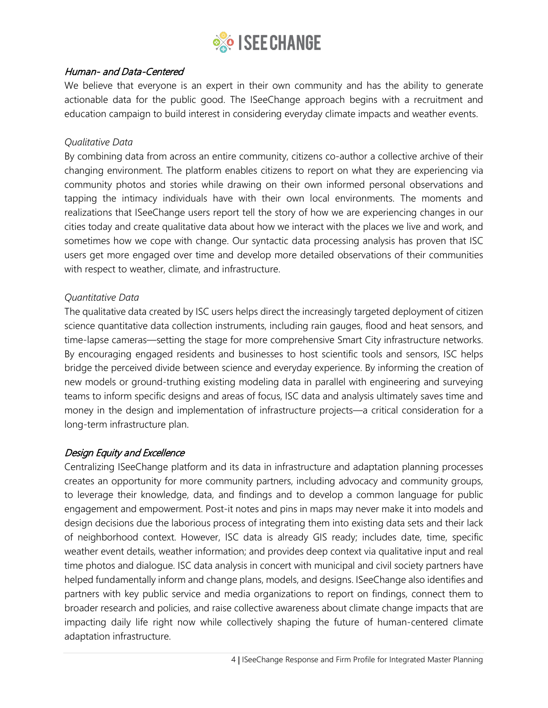

### Human- and Data-Centered

We believe that everyone is an expert in their own community and has the ability to generate actionable data for the public good. The ISeeChange approach begins with a recruitment and education campaign to build interest in considering everyday climate impacts and weather events.

### *Qualitative Data*

By combining data from across an entire community, citizens co-author a collective archive of their changing environment. The platform enables citizens to report on what they are experiencing via community photos and stories while drawing on their own informed personal observations and tapping the intimacy individuals have with their own local environments. The moments and realizations that ISeeChange users report tell the story of how we are experiencing changes in our cities today and create qualitative data about how we interact with the places we live and work, and sometimes how we cope with change. Our syntactic data processing analysis has proven that ISC users get more engaged over time and develop more detailed observations of their communities with respect to weather, climate, and infrastructure.

### *Quantitative Data*

The qualitative data created by ISC users helps direct the increasingly targeted deployment of citizen science quantitative data collection instruments, including rain gauges, flood and heat sensors, and time-lapse cameras—setting the stage for more comprehensive Smart City infrastructure networks. By encouraging engaged residents and businesses to host scientific tools and sensors, ISC helps bridge the perceived divide between science and everyday experience. By informing the creation of new models or ground-truthing existing modeling data in parallel with engineering and surveying teams to inform specific designs and areas of focus, ISC data and analysis ultimately saves time and money in the design and implementation of infrastructure projects—a critical consideration for a long-term infrastructure plan.

### Design Equity and Excellence

Centralizing ISeeChange platform and its data in infrastructure and adaptation planning processes creates an opportunity for more community partners, including advocacy and community groups, to leverage their knowledge, data, and findings and to develop a common language for public engagement and empowerment. Post-it notes and pins in maps may never make it into models and design decisions due the laborious process of integrating them into existing data sets and their lack of neighborhood context. However, ISC data is already GIS ready; includes date, time, specific weather event details, weather information; and provides deep context via qualitative input and real time photos and dialogue. ISC data analysis in concert with municipal and civil society partners have helped fundamentally inform and change plans, models, and designs. ISeeChange also identifies and partners with key public service and media organizations to report on findings, connect them to broader research and policies, and raise collective awareness about climate change impacts that are impacting daily life right now while collectively shaping the future of human-centered climate adaptation infrastructure.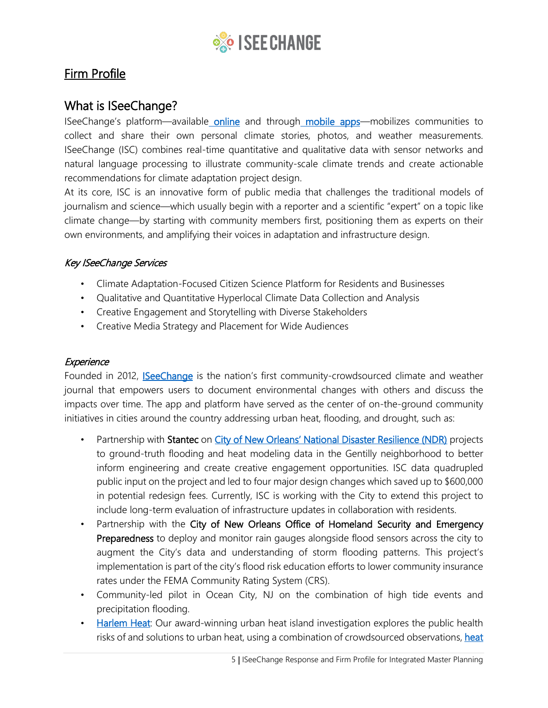

# Firm Profile

## What is ISeeChange?

ISeeChange's platform—available [online](https://www.iseechange.org/) and through [mobile apps—](https://itunes.apple.com/us/app/iseecha)mobilizes communities to collect and share their own personal climate stories, photos, and weather measurements. ISeeChange (ISC) combines real-time quantitative and qualitative data with sensor networks and natural language processing to illustrate community-scale climate trends and create actionable recommendations for climate adaptation project design.

At its core, ISC is an innovative form of public media that challenges the traditional models of journalism and science—which usually begin with a reporter and a scientific "expert" on a topic like climate change—by starting with community members first, positioning them as experts on their own environments, and amplifying their voices in adaptation and infrastructure design.

### Key ISeeChange Services

- Climate Adaptation-Focused Citizen Science Platform for Residents and Businesses
- Qualitative and Quantitative Hyperlocal Climate Data Collection and Analysis
- Creative Engagement and Storytelling with Diverse Stakeholders
- Creative Media Strategy and Placement for Wide Audiences

### **Experience**

Founded in 2012, **ISeeChange** is the nation's first community-crowdsourced climate and weather journal that empowers users to document environmental changes with others and discuss the impacts over time. The app and platform have served as the center of on-the-ground community initiatives in cities around the country addressing urban heat, flooding, and drought, such as:

- Partnership with Stantec on [City of New Orleans' National Disaster Resilience \(NDR\)](https://drive.google.com/file/d/1-ECrkzU0yI7GrN51G8h8J25GyMPCoI9T/view?usp=sharing) projects to ground-truth flooding and heat modeling data in the Gentilly neighborhood to better inform engineering and create creative engagement opportunities. ISC data quadrupled public input on the project and led to four major design changes which saved up to \$600,000 in potential redesign fees. Currently, ISC is working with the City to extend this project to include long-term evaluation of infrastructure updates in collaboration with residents.
- Partnership with the City of New Orleans Office of Homeland Security and Emergency Preparedness to deploy and monitor rain gauges alongside flood sensors across the city to augment the City's data and understanding of storm flooding patterns. This project's implementation is part of the city's flood risk education efforts to lower community insurance rates under the FEMA Community Rating System (CRS).
- Community-led pilot in Ocean City, NJ on the combination of high tide events and precipitation flooding.
- [Harlem Heat:](https://www.iseechange.org/inv) Our award-winning urban heat island investigation explores the public health risks of and solutions to urban heat, using a combination of crowdsourced observations, heat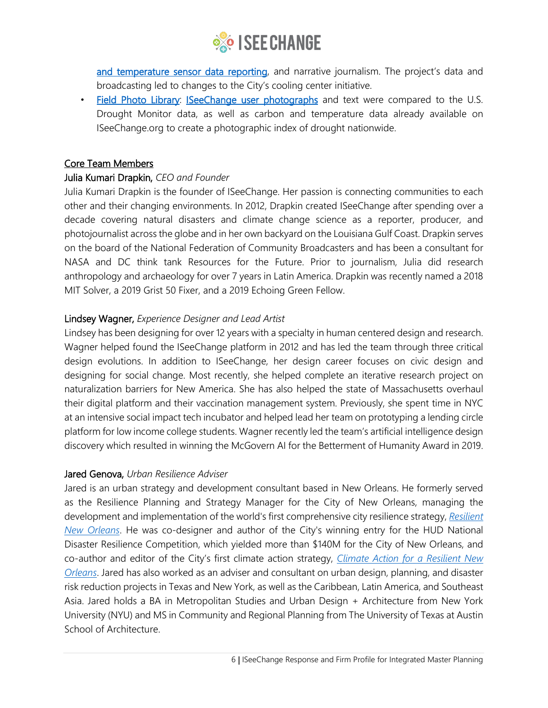

[and temperature sensor data reporting,](http://www.iseechange.org/dataviz) and narrative journalism. The project's data and broadcasting led to changes to the City's cooling center initiative.

• [Field Photo Library: ISeeChange user photographs](https://www.youtube.com/watch?v=JdaFXg6Roo0) and text were compared to the U.S. Drought Monitor data, as well as carbon and temperature data already available on ISeeChange.org to create a photographic index of drought nationwide.

#### Core Team Members

#### Julia Kumari Drapkin, *CEO and Founder*

Julia Kumari Drapkin is the founder of ISeeChange. Her passion is connecting communities to each other and their changing environments. In 2012, Drapkin created ISeeChange after spending over a decade covering natural disasters and climate change science as a reporter, producer, and photojournalist across the globe and in her own backyard on the Louisiana Gulf Coast. Drapkin serves on the board of the National Federation of Community Broadcasters and has been a consultant for NASA and DC think tank Resources for the Future. Prior to journalism, Julia did research anthropology and archaeology for over 7 years in Latin America. Drapkin was recently named a 2018 MIT Solver, a 2019 Grist 50 Fixer, and a 2019 Echoing Green Fellow.

### Lindsey Wagner, *Experience Designer and Lead Artist*

Lindsey has been designing for over 12 years with a specialty in human centered design and research. Wagner helped found the ISeeChange platform in 2012 and has led the team through three critical design evolutions. In addition to ISeeChange, her design career focuses on civic design and designing for social change. Most recently, she helped complete an iterative research project on naturalization barriers for New America. She has also helped the state of Massachusetts overhaul their digital platform and their vaccination management system. Previously, she spent time in NYC at an intensive social impact tech incubator and helped lead her team on prototyping a lending circle platform for low income college students. Wagner recently led the team's artificial intelligence design discovery which resulted in winning the McGovern AI for the Betterment of Humanity Award in 2019.

#### Jared Genova, *Urban Resilience Adviser*

Jared is an urban strategy and development consultant based in New Orleans. He formerly served as the Resilience Planning and Strategy Manager for the City of New Orleans, managing the development and implementation of the world's first comprehensive city resilience strategy, *[Resilient](http://www.nola.gov/resilientnola)  [New Orleans](http://www.nola.gov/resilientnola)*. He was co-designer and author of the City's winning entry for the HUD National Disaster Resilience Competition, which yielded more than \$140M for the City of New Orleans, and co-author and editor of the City's first climate action strategy, *[Climate Action for a Resilient New](http://www.nola.gov/climateaction)  [Orleans](http://www.nola.gov/climateaction)*. Jared has also worked as an adviser and consultant on urban design, planning, and disaster risk reduction projects in Texas and New York, as well as the Caribbean, Latin America, and Southeast Asia. Jared holds a BA in Metropolitan Studies and Urban Design + Architecture from New York University (NYU) and MS in Community and Regional Planning from The University of Texas at Austin School of Architecture.